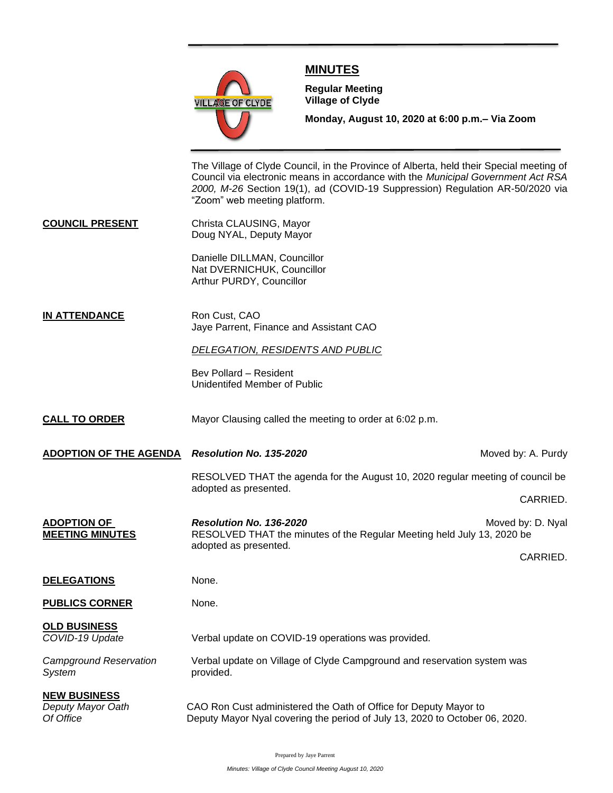

## **MINUTES**

**Meeting**

**Regular Meeting Village of Clyde**

**Monday, August 10, 2020 at 6:00 p.m.– Via Zoom** 

The Village of Clyde Council, in the Province of Alberta, held their Special meeting of Council via electronic means in accordance with the *Municipal Government Act RSA 2000, M-26* Section 19(1), ad (COVID-19 Suppression) Regulation AR-50/2020 via "Zoom" web meeting platform.

**COUNCIL PRESENT** Christa CLAUSING, Mayor Doug NYAL, Deputy Mayor

> Danielle DILLMAN, Councillor Nat DVERNICHUK, Councillor Arthur PURDY, Councillor

#### **IN ATTENDANCE** Ron Cust, CAO Jaye Parrent, Finance and Assistant CAO

### *DELEGATION, RESIDENTS AND PUBLIC*

Bev Pollard – Resident Unidentifed Member of Public

- **CALL TO ORDER** Mayor Clausing called the meeting to order at 6:02 p.m.
- **ADOPTION OF THE AGENDA** *Resolution No. 135-2020* **Moved by: A. Purdy** *Moved by: A. Purdy*

RESOLVED THAT the agenda for the August 10, 2020 regular meeting of council be adopted as presented.

CARRIED.

- **ADOPTION OF** *Resolution No. 136-2020**Resolution No. 136-2020* **Moved by: D. Nyal MEETING MINUTES** RESOLVED THAT the minutes of the Regular Meeting held July 13, 2020 be adopted as presented. CARRIED. **DELEGATIONS** None.
- **PUBLICS CORNER** None.

**OLD BUSINESS** *COVID-19 Update* Verbal update on COVID-19 operations was provided.

System **provided**.

*Campground Reservation* Verbal update on Village of Clyde Campground and reservation system was

**NEW BUSINESS** *Deputy Mayor Oath* CAO Ron Cust administered the Oath of Office for Deputy Mayor to *Of Office* Deputy Mayor Nyal covering the period of July 13, 2020 to October 06, 2020.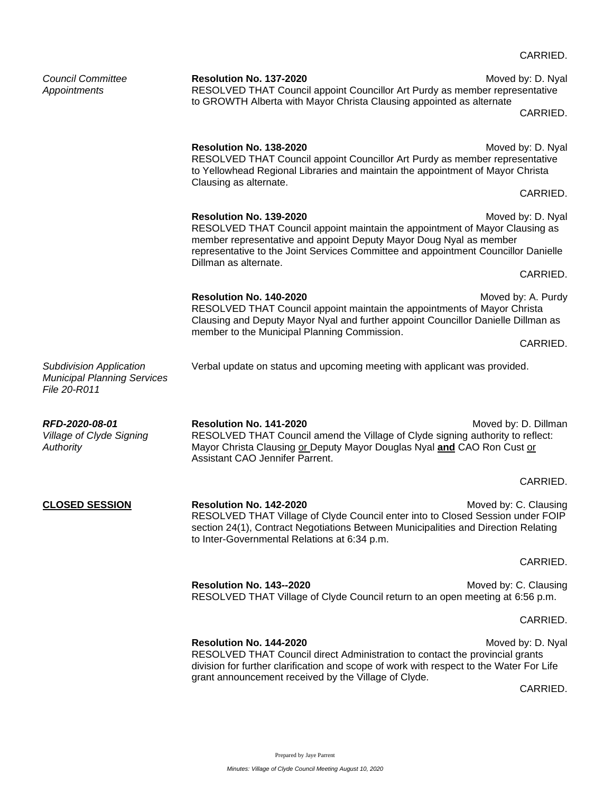|                                                                                      |                                                                                                                                                                                                                                                                                                                  | CARRIED.                      |
|--------------------------------------------------------------------------------------|------------------------------------------------------------------------------------------------------------------------------------------------------------------------------------------------------------------------------------------------------------------------------------------------------------------|-------------------------------|
| <b>Council Committee</b><br>Appointments                                             | Resolution No. 137-2020<br>RESOLVED THAT Council appoint Councillor Art Purdy as member representative<br>to GROWTH Alberta with Mayor Christa Clausing appointed as alternate                                                                                                                                   | Moved by: D. Nyal<br>CARRIED. |
|                                                                                      | Resolution No. 138-2020<br>RESOLVED THAT Council appoint Councillor Art Purdy as member representative<br>to Yellowhead Regional Libraries and maintain the appointment of Mayor Christa<br>Clausing as alternate.                                                                                               | Moved by: D. Nyal             |
|                                                                                      |                                                                                                                                                                                                                                                                                                                  | CARRIED.                      |
|                                                                                      | Resolution No. 139-2020<br>Moved by: D. Nyal<br>RESOLVED THAT Council appoint maintain the appointment of Mayor Clausing as<br>member representative and appoint Deputy Mayor Doug Nyal as member<br>representative to the Joint Services Committee and appointment Councillor Danielle<br>Dillman as alternate. |                               |
|                                                                                      |                                                                                                                                                                                                                                                                                                                  | CARRIED.                      |
|                                                                                      | Resolution No. 140-2020<br>RESOLVED THAT Council appoint maintain the appointments of Mayor Christa<br>Clausing and Deputy Mayor Nyal and further appoint Councillor Danielle Dillman as                                                                                                                         | Moved by: A. Purdy            |
|                                                                                      | member to the Municipal Planning Commission.                                                                                                                                                                                                                                                                     | CARRIED.                      |
| <b>Subdivision Application</b><br><b>Municipal Planning Services</b><br>File 20-R011 | Verbal update on status and upcoming meeting with applicant was provided.                                                                                                                                                                                                                                        |                               |
| RFD-2020-08-01<br><b>Village of Clyde Signing</b><br>Authority                       | <b>Resolution No. 141-2020</b><br>RESOLVED THAT Council amend the Village of Clyde signing authority to reflect:<br>Mayor Christa Clausing or Deputy Mayor Douglas Nyal and CAO Ron Cust or<br>Assistant CAO Jennifer Parrent.                                                                                   | Moved by: D. Dillman          |
|                                                                                      |                                                                                                                                                                                                                                                                                                                  | CARRIED.                      |
| <b>CLOSED SESSION</b>                                                                | Resolution No. 142-2020<br>RESOLVED THAT Village of Clyde Council enter into to Closed Session under FOIP<br>section 24(1), Contract Negotiations Between Municipalities and Direction Relating<br>to Inter-Governmental Relations at 6:34 p.m.                                                                  | Moved by: C. Clausing         |
|                                                                                      |                                                                                                                                                                                                                                                                                                                  | CARRIED.                      |
|                                                                                      | Resolution No. 143--2020<br>RESOLVED THAT Village of Clyde Council return to an open meeting at 6:56 p.m.                                                                                                                                                                                                        | Moved by: C. Clausing         |
|                                                                                      |                                                                                                                                                                                                                                                                                                                  | CARRIED.                      |
|                                                                                      | Resolution No. 144-2020<br>RESOLVED THAT Council direct Administration to contact the provincial grants<br>division for further clarification and scope of work with respect to the Water For Life<br>grant announcement received by the Village of Clyde.                                                       | Moved by: D. Nyal             |

CARRIED.

# CARRIED.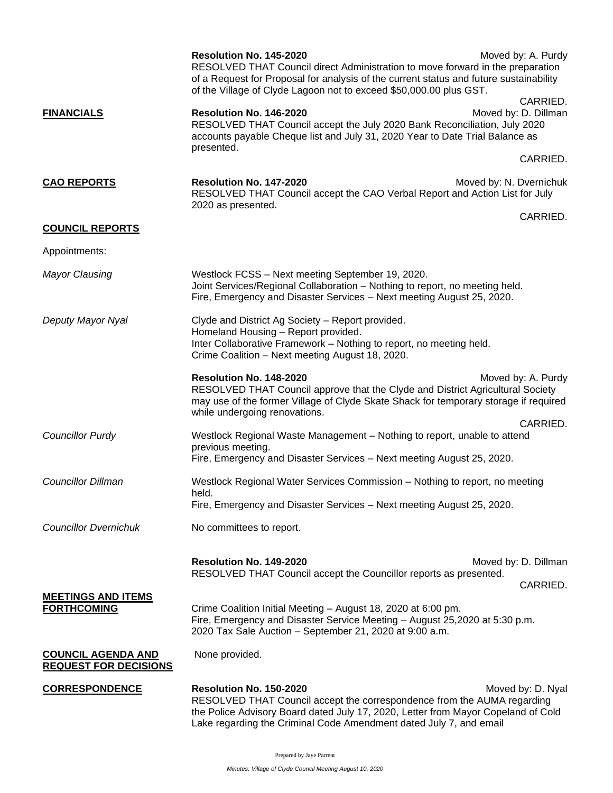|                                                           | Resolution No. 145-2020<br>RESOLVED THAT Council direct Administration to move forward in the preparation<br>of a Request for Proposal for analysis of the current status and future sustainability<br>of the Village of Clyde Lagoon not to exceed \$50,000.00 plus GST. | Moved by: A. Purdy<br>CARRIED.   |  |
|-----------------------------------------------------------|---------------------------------------------------------------------------------------------------------------------------------------------------------------------------------------------------------------------------------------------------------------------------|----------------------------------|--|
| <b>FINANCIALS</b>                                         | Resolution No. 146-2020<br>Moved by: D. Dillman<br>RESOLVED THAT Council accept the July 2020 Bank Reconciliation, July 2020<br>accounts payable Cheque list and July 31, 2020 Year to Date Trial Balance as<br>presented.                                                |                                  |  |
|                                                           |                                                                                                                                                                                                                                                                           | CARRIED.                         |  |
| <b>CAO REPORTS</b>                                        | Resolution No. 147-2020<br>RESOLVED THAT Council accept the CAO Verbal Report and Action List for July<br>2020 as presented.                                                                                                                                              | Moved by: N. Dvernichuk          |  |
| <b>COUNCIL REPORTS</b>                                    |                                                                                                                                                                                                                                                                           | CARRIED.                         |  |
| Appointments:                                             |                                                                                                                                                                                                                                                                           |                                  |  |
| <b>Mayor Clausing</b>                                     | Westlock FCSS - Next meeting September 19, 2020.<br>Joint Services/Regional Collaboration - Nothing to report, no meeting held.<br>Fire, Emergency and Disaster Services - Next meeting August 25, 2020.                                                                  |                                  |  |
| Deputy Mayor Nyal                                         | Clyde and District Ag Society - Report provided.<br>Homeland Housing - Report provided.<br>Inter Collaborative Framework - Nothing to report, no meeting held.<br>Crime Coalition - Next meeting August 18, 2020.                                                         |                                  |  |
|                                                           | Resolution No. 148-2020<br>RESOLVED THAT Council approve that the Clyde and District Agricultural Society<br>may use of the former Village of Clyde Skate Shack for temporary storage if required<br>while undergoing renovations.                                        | Moved by: A. Purdy<br>CARRIED.   |  |
| <b>Councillor Purdy</b>                                   | Westlock Regional Waste Management - Nothing to report, unable to attend<br>previous meeting.<br>Fire, Emergency and Disaster Services - Next meeting August 25, 2020.                                                                                                    |                                  |  |
| <b>Councillor Dillman</b>                                 | Westlock Regional Water Services Commission - Nothing to report, no meeting<br>held.<br>Fire, Emergency and Disaster Services - Next meeting August 25, 2020.                                                                                                             |                                  |  |
| <b>Councillor Dvernichuk</b>                              | No committees to report.                                                                                                                                                                                                                                                  |                                  |  |
|                                                           | Resolution No. 149-2020<br>RESOLVED THAT Council accept the Councillor reports as presented.                                                                                                                                                                              | Moved by: D. Dillman<br>CARRIED. |  |
| <b>MEETINGS AND ITEMS</b><br><b>FORTHCOMING</b>           | Crime Coalition Initial Meeting - August 18, 2020 at 6:00 pm.<br>Fire, Emergency and Disaster Service Meeting - August 25,2020 at 5:30 p.m.<br>2020 Tax Sale Auction - September 21, 2020 at 9:00 a.m.                                                                    |                                  |  |
| <b>COUNCIL AGENDA AND</b><br><b>REQUEST FOR DECISIONS</b> | None provided.                                                                                                                                                                                                                                                            |                                  |  |
| <b>CORRESPONDENCE</b>                                     | Resolution No. 150-2020<br>RESOLVED THAT Council accept the correspondence from the AUMA regarding<br>the Police Advisory Board dated July 17, 2020, Letter from Mayor Copeland of Cold<br>Lake regarding the Criminal Code Amendment dated July 7, and email             | Moved by: D. Nyal                |  |